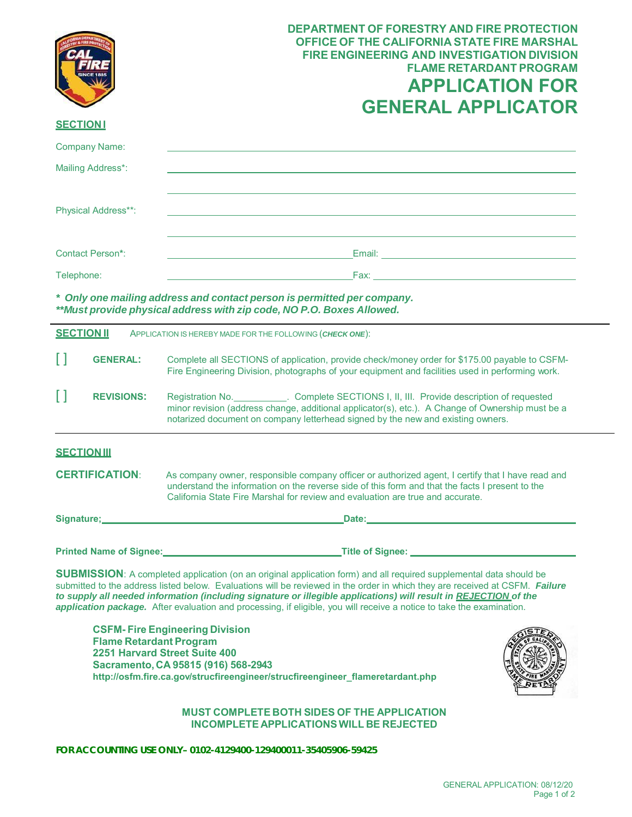|                                                                                                                           | <b>DEPARTMENT OF FORESTRY AND FIRE PROTECTION</b><br><b>OFFICE OF THE CALIFORNIA STATE FIRE MARSHAL</b><br><b>FIRE ENGINEERING AND INVESTIGATION DIVISION</b><br><b>FLAME RETARDANT PROGRAM</b><br><b>APPLICATION FOR</b><br><b>GENERAL APPLICATOR</b>                                 |
|---------------------------------------------------------------------------------------------------------------------------|----------------------------------------------------------------------------------------------------------------------------------------------------------------------------------------------------------------------------------------------------------------------------------------|
| <b>SECTIONI</b>                                                                                                           |                                                                                                                                                                                                                                                                                        |
| <b>Company Name:</b>                                                                                                      |                                                                                                                                                                                                                                                                                        |
| Mailing Address*:                                                                                                         |                                                                                                                                                                                                                                                                                        |
| Physical Address**:                                                                                                       |                                                                                                                                                                                                                                                                                        |
| <b>Contact Person*:</b>                                                                                                   |                                                                                                                                                                                                                                                                                        |
| Telephone:                                                                                                                | Fax: <b>Exercise Exercise Service Service</b>                                                                                                                                                                                                                                          |
|                                                                                                                           | * Only one mailing address and contact person is permitted per company.<br>**Must provide physical address with zip code, NO P.O. Boxes Allowed.                                                                                                                                       |
| <b>SECTION II</b>                                                                                                         | APPLICATION IS HEREBY MADE FOR THE FOLLOWING (CHECK ONE):                                                                                                                                                                                                                              |
| I l<br><b>GENERAL:</b>                                                                                                    | Complete all SECTIONS of application, provide check/money order for \$175.00 payable to CSFM-<br>Fire Engineering Division, photographs of your equipment and facilities used in performing work.                                                                                      |
| П<br><b>REVISIONS:</b>                                                                                                    | Registration No. ___________. Complete SECTIONS I, II, III. Provide description of requested<br>minor revision (address change, additional applicator(s), etc.). A Change of Ownership must be a<br>notarized document on company letterhead signed by the new and existing owners.    |
| <b>SECTIONIII</b>                                                                                                         |                                                                                                                                                                                                                                                                                        |
| <b>CERTIFICATION:</b>                                                                                                     | As company owner, responsible company officer or authorized agent, I certify that I have read and<br>understand the information on the reverse side of this form and that the facts I present to the<br>California State Fire Marshal for review and evaluation are true and accurate. |
|                                                                                                                           |                                                                                                                                                                                                                                                                                        |
|                                                                                                                           | Printed Name of Signee: Manual Communication of Signee: Manual Communication of Signee:                                                                                                                                                                                                |
| <b>SUBMISSION:</b> A completed application (on an original application form) and all required supplemental data should be |                                                                                                                                                                                                                                                                                        |

 submitted to the address listed below. Evaluations will be reviewed in the order in which they are received at CSFM. *Failure application package.* After evaluation and processing, if eligible, you will receive a notice to take the examination. *to supply all needed information (including signature or illegible applications) will result in REJECTION of the* 

 **2251 Harvard Street Suite 400 Sacramento, CA 95815 (916) 568-2943 CSFM- Fire Engineering Division Flame Retardant Program [http://osfm.fire.ca.gov/strucfireengineer/strucfireengineer\\_flameretardant.php](https://osfm.fire.ca.gov/divisions/fire-engineering-and-investigations/flame-retardant-chemicals-and-fabrics/)**



## **MUST COMPLETE BOTH SIDES OF THE APPLICATION INCOMPLETE APPLICATIONSWILL BE REJECTED**

 **FOR ACCOUNTING USE ONLY– 0102-4129400-129400011-35405906-59425**